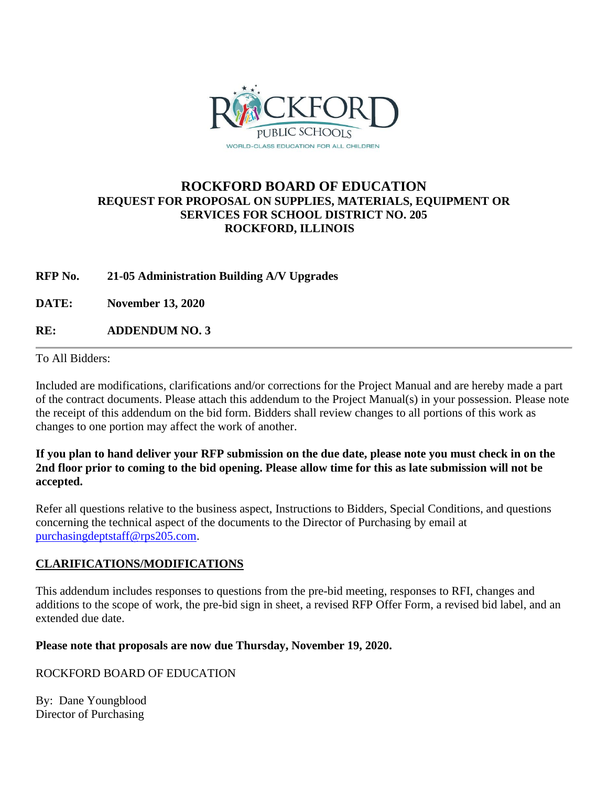

### **ROCKFORD BOARD OF EDUCATION REQUEST FOR PROPOSAL ON SUPPLIES, MATERIALS, EQUIPMENT OR SERVICES FOR SCHOOL DISTRICT NO. 205 ROCKFORD, ILLINOIS**

### **RFP No. 21-05 Administration Building A/V Upgrades**

**DATE: November 13, 2020**

**RE: ADDENDUM NO. 3**

To All Bidders:

Included are modifications, clarifications and/or corrections for the Project Manual and are hereby made a part of the contract documents. Please attach this addendum to the Project Manual(s) in your possession. Please note the receipt of this addendum on the bid form. Bidders shall review changes to all portions of this work as changes to one portion may affect the work of another.

### **If you plan to hand deliver your RFP submission on the due date, please note you must check in on the 2nd floor prior to coming to the bid opening. Please allow time for this as late submission will not be accepted.**

Refer all questions relative to the business aspect, Instructions to Bidders, Special Conditions, and questions concerning the technical aspect of the documents to the Director of Purchasing by email at [purchasingdeptstaff@rps205.com.](mailto:purchasingdeptstaff@rps205.com)

### **CLARIFICATIONS/MODIFICATIONS**

This addendum includes responses to questions from the pre-bid meeting, responses to RFI, changes and additions to the scope of work, the pre-bid sign in sheet, a revised RFP Offer Form, a revised bid label, and an extended due date.

### **Please note that proposals are now due Thursday, November 19, 2020.**

### ROCKFORD BOARD OF EDUCATION

By: Dane Youngblood Director of Purchasing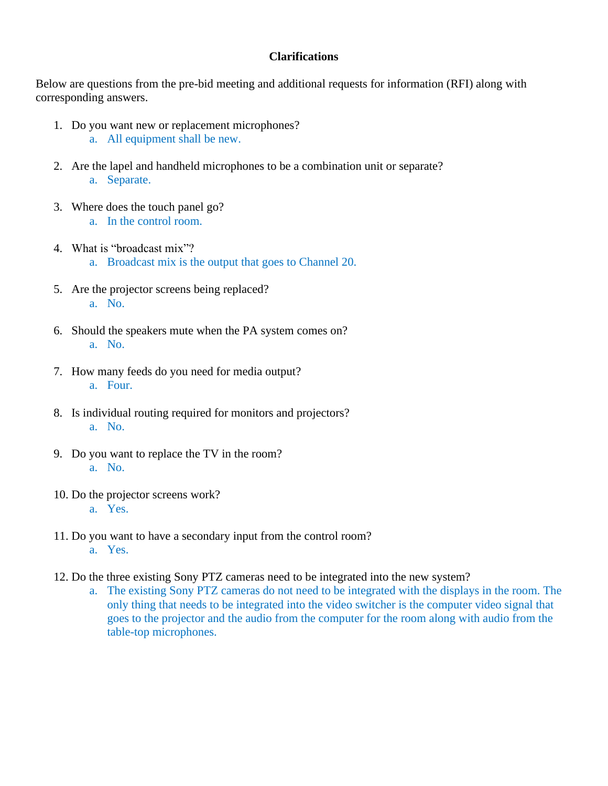### **Clarifications**

Below are questions from the pre-bid meeting and additional requests for information (RFI) along with corresponding answers.

- 1. Do you want new or replacement microphones? a. All equipment shall be new.
- 2. Are the lapel and handheld microphones to be a combination unit or separate? a. Separate.
- 3. Where does the touch panel go? a. In the control room.
- 4. What is "broadcast mix"? a. Broadcast mix is the output that goes to Channel 20.
- 5. Are the projector screens being replaced? a. No.
- 6. Should the speakers mute when the PA system comes on? a. No.
- 7. How many feeds do you need for media output? a. Four.
- 8. Is individual routing required for monitors and projectors? a. No.
- 9. Do you want to replace the TV in the room? a. No.
- 10. Do the projector screens work? a. Yes.
- 11. Do you want to have a secondary input from the control room? a. Yes.
- 12. Do the three existing Sony PTZ cameras need to be integrated into the new system?
	- a. The existing Sony PTZ cameras do not need to be integrated with the displays in the room. The only thing that needs to be integrated into the video switcher is the computer video signal that goes to the projector and the audio from the computer for the room along with audio from the table-top microphones.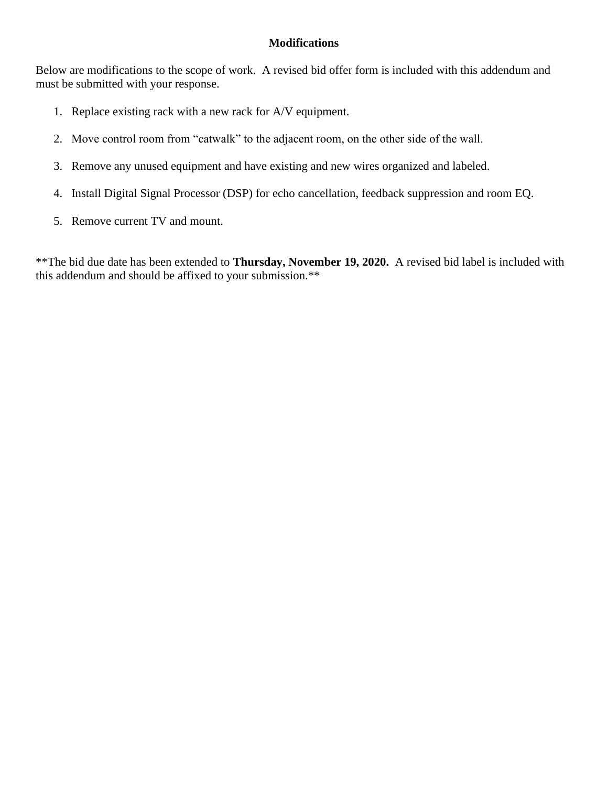### **Modifications**

Below are modifications to the scope of work. A revised bid offer form is included with this addendum and must be submitted with your response.

- 1. Replace existing rack with a new rack for A/V equipment.
- 2. Move control room from "catwalk" to the adjacent room, on the other side of the wall.
- 3. Remove any unused equipment and have existing and new wires organized and labeled.
- 4. Install Digital Signal Processor (DSP) for echo cancellation, feedback suppression and room EQ.
- 5. Remove current TV and mount.

\*\*The bid due date has been extended to **Thursday, November 19, 2020.** A revised bid label is included with this addendum and should be affixed to your submission.\*\*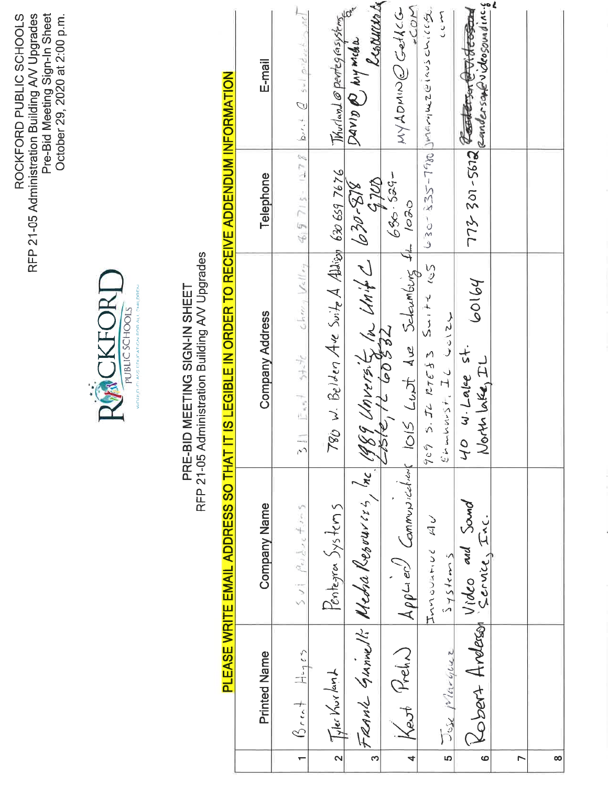RFP 21-05 Administration Building AV Upgrades<br>Pre-Bid Meeting Sign-In Sheet<br>October 29, 2020 at 2:00 p.m. ROCKFORD PUBLIC SCHOOLS



# PRE-BID MEETING SIGN-IN SHEET<br>RFP 21-05 Administration Building AV Upgrades

# PLEASE WRITE EMAIL ADDRESS SO THAT IT IS LEGIBLE IN ORDER TO RECEIVE ADDENDUM INFORMATION

|                         | Printed Name                   | Company Name                           | Company Address                                                                                        | Telephone   | E-mail                                         |
|-------------------------|--------------------------------|----------------------------------------|--------------------------------------------------------------------------------------------------------|-------------|------------------------------------------------|
| $\leftarrow$            | $\beta$ reat $H_{q_1 s_2}$     | $5vl$ $9v_{0}dv_{0} + v_{0}5$          | $3$ II: East state change Valley                                                                       |             | $499715 - 1278$ brit $Q_{sol}$ priducting $nI$ |
| $\overline{\mathbf{z}}$ | Tyler Kurlant                  | Pentegran <u>Systems</u>               | $780$ w. Belden Are Suite A Allian 630 659 7676                                                        |             | Window @ pertegrasystems                       |
|                         |                                | FRANK GUNNER Nedra Resources, Inc.     | $\frac{189}{182-069}$ (n)<br>the function of the Unit $\frac{1}{2}$ (030-878                           | 4700        | Lesourenta<br>Davis @ Mymedia                  |
| $\overline{a}$          | Kest Preh)                     |                                        | $  \lambda \rho \rho$ Lien $\partial$ Communications 1015 Lust due Schambing St 1020                   | $686.529 -$ | COM<br>MYADMINE GetACG                         |
| <u>In</u>               | Jose Mineyerz                  | ロミ こうさきっっ えつ<br>$\frac{1}{2}$ ys tem s | $5.72$ RTE33 $5 - 12$ $12 - 12$ $12 - 128$ $12 - 128$ meaning the set of $9$<br>のてきてくらん けつ へっこり<br>709 |             | Say<br>2                                       |
| $\ddot{\circ}$          | Robert Arderson Video and Sand |                                        | 60164<br>40 w. Lake st.<br>North Lake, IL                                                              |             | 201-5612 Conderson @ Oldesgunding              |
| r                       |                                |                                        |                                                                                                        |             |                                                |
| ထ                       |                                |                                        |                                                                                                        |             |                                                |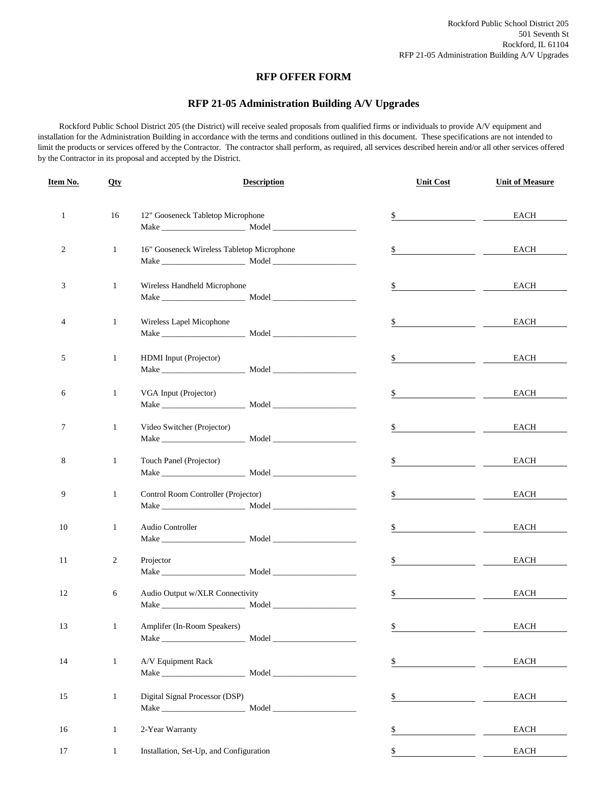### **RFP OFFER FORM**

### **RFP 21-05 Administration Building A/V Upgrades**

 Rockford Public School District 205 (the District) will receive sealed proposals from qualified firms or individuals to provide A/V equipment and installation for the Administration Building in accordance with the terms and conditions outlined in this document. These specifications are not intended to limit the products or services offered by the Contractor. The contractor shall perform, as required, all services described herein and/or all other services offered by the Contractor in its proposal and accepted by the District.

| Item No.     | <b>Qty</b>     | <b>Description</b>                         | <b>Unit Cost</b>                                                                                                           | <b>Unit of Measure</b> |
|--------------|----------------|--------------------------------------------|----------------------------------------------------------------------------------------------------------------------------|------------------------|
| $\mathbf{1}$ | 16             | 12" Gooseneck Tabletop Microphone          | \$                                                                                                                         | EACH                   |
| 2            | $\mathbf{1}$   | 16" Gooseneck Wireless Tabletop Microphone | \$                                                                                                                         | EACH                   |
|              |                |                                            |                                                                                                                            |                        |
| 3            | $\mathbf{1}$   | Wireless Handheld Microphone               | \$<br><u> 1989 - Johann Marie Barn, mars ar breist ar yn y breist yn y breist ar y breist ar y breist ar y breist ar y</u> | EACH                   |
| 4            | $\mathbf{1}$   | Wireless Lapel Micophone                   | $\mathbb{S}$                                                                                                               | EACH                   |
| 5            | $\mathbf{1}$   | HDMI Input (Projector)                     | \$                                                                                                                         | EACH                   |
| 6            | $\mathbf{1}$   | VGA Input (Projector)                      | \$                                                                                                                         | EACH                   |
| 7            | $\mathbf{1}$   | Video Switcher (Projector)                 | \$                                                                                                                         | EACH                   |
| 8            | $\mathbf{1}$   | Touch Panel (Projector)                    | \$                                                                                                                         | EACH                   |
| 9            | $\mathbf{1}$   | Control Room Controller (Projector)        | \$                                                                                                                         | EACH                   |
| 10           | $\mathbf{1}$   | Audio Controller                           | \$                                                                                                                         | EACH                   |
| 11           | $\overline{c}$ | Projector                                  | \$                                                                                                                         | EACH                   |
| 12           | 6              | Audio Output w/XLR Connectivity            | $\S$                                                                                                                       | EACH                   |
| 13           | $\mathbf{1}$   | Amplifer (In-Room Speakers)                | $\frac{1}{2}$                                                                                                              | $_{\rm EACH}$          |
| 14           | $\mathbf{1}$   | A/V Equipment Rack                         | \$                                                                                                                         | EACH                   |
| 15           | $\mathbf{1}$   | Digital Signal Processor (DSP)             | $\underline{\$}$                                                                                                           | EACH                   |
| 16           | $\mathbf{1}$   | 2-Year Warranty                            | \$                                                                                                                         | EACH                   |
| 17           | $\mathbf{1}$   | Installation, Set-Up, and Configuration    | \$                                                                                                                         | EACH                   |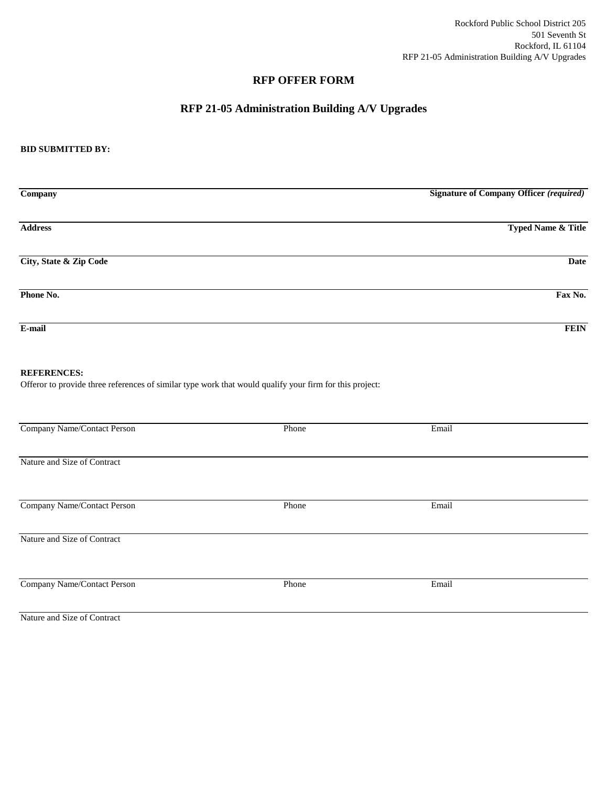### **RFP OFFER FORM**

### **RFP 21-05 Administration Building A/V Upgrades**

### **BID SUBMITTED BY:**

| $\overline{\mathbf{Company}}$ | <b>Signature of Company Officer (required)</b> |
|-------------------------------|------------------------------------------------|
|                               |                                                |
| <b>Address</b>                | <b>Typed Name &amp; Title</b>                  |
|                               |                                                |
| City, State & Zip Code        | Date                                           |
|                               |                                                |
|                               |                                                |
| Phone No.                     | Fax No.                                        |
|                               |                                                |
| E-mail                        | <b>FEIN</b>                                    |

### **REFERENCES:**

Offeror to provide three references of similar type work that would qualify your firm for this project:

| Company Name/Contact Person | Phone | Email |  |
|-----------------------------|-------|-------|--|
|                             |       |       |  |
|                             |       |       |  |
|                             |       |       |  |
| Nature and Size of Contract |       |       |  |
|                             |       |       |  |
|                             |       |       |  |
|                             |       |       |  |
| Company Name/Contact Person | Phone | Email |  |
|                             |       |       |  |
|                             |       |       |  |
|                             |       |       |  |
| Nature and Size of Contract |       |       |  |
|                             |       |       |  |
|                             |       |       |  |
|                             |       |       |  |
|                             |       |       |  |
| Company Name/Contact Person | Phone | Email |  |
|                             |       |       |  |
|                             |       |       |  |

Nature and Size of Contract